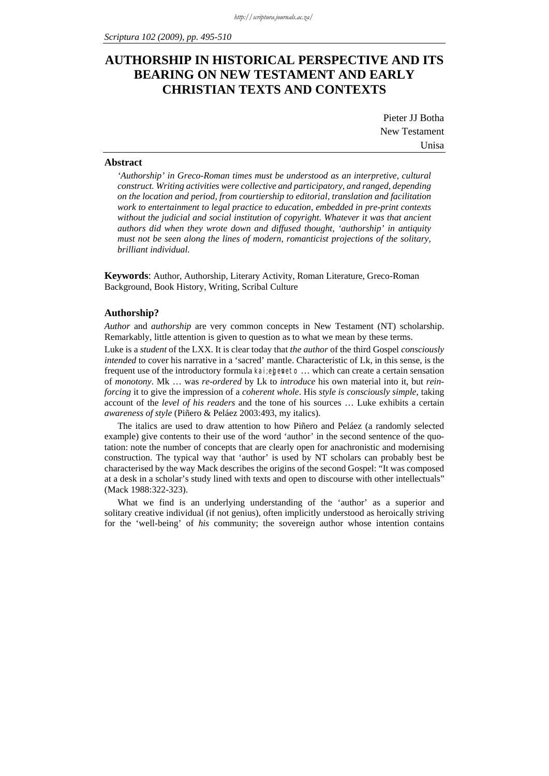# **AUTHORSHIP IN HISTORICAL PERSPECTIVE AND ITS BEARING ON NEW TESTAMENT AND EARLY CHRISTIAN TEXTS AND CONTEXTS**

| Pieter JJ Botha |  |  |
|-----------------|--|--|
| New Testament   |  |  |
| Unisa           |  |  |

### **Abstract**

*'Authorship' in Greco-Roman times must be understood as an interpretive, cultural construct. Writing activities were collective and participatory, and ranged, depending on the location and period, from courtiership to editorial, translation and facilitation work to entertainment to legal practice to education, embedded in pre-print contexts without the judicial and social institution of copyright. Whatever it was that ancient authors did when they wrote down and diffused thought, 'authorship' in antiquity must not be seen along the lines of modern, romanticist projections of the solitary, brilliant individual.* 

**Keywords**: Author, Authorship, Literary Activity, Roman Literature, Greco-Roman Background, Book History, Writing, Scribal Culture

### **Authorship?**

*Author* and *authorship* are very common concepts in New Testament (NT) scholarship. Remarkably, little attention is given to question as to what we mean by these terms.

Luke is a *student* of the LXX. It is clear today that *the author* of the third Gospel *consciously intended* to cover his narrative in a 'sacred' mantle. Characteristic of Lk, in this sense, is the frequent use of the introductory formula kai; egeneto ... which can create a certain sensation of *monotony*. Mk … was *re-ordered* by Lk to *introduce* his own material into it, but *reinforcing* it to give the impression of a *coherent whole*. His *style is consciously simple*, taking account of the *level of his readers* and the tone of his sources … Luke exhibits a certain *awareness of style* (Piñero & Peláez 2003:493, my italics).

The italics are used to draw attention to how Piñero and Peláez (a randomly selected example) give contents to their use of the word 'author' in the second sentence of the quotation: note the number of concepts that are clearly open for anachronistic and modernising construction. The typical way that 'author' is used by NT scholars can probably best be characterised by the way Mack describes the origins of the second Gospel: "It was composed at a desk in a scholar's study lined with texts and open to discourse with other intellectuals" (Mack 1988:322-323).

What we find is an underlying understanding of the 'author' as a superior and solitary creative individual (if not genius), often implicitly understood as heroically striving for the 'well-being' of *his* community; the sovereign author whose intention contains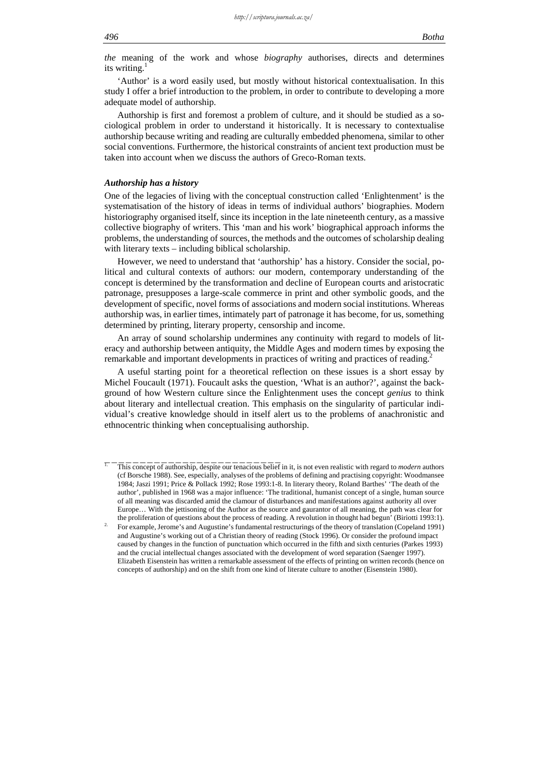*the* meaning of the work and whose *biography* authorises, directs and determines its writing.

'Author' is a word easily used, but mostly without historical contextualisation. In this study I offer a brief introduction to the problem, in order to contribute to developing a more adequate model of authorship.

Authorship is first and foremost a problem of culture, and it should be studied as a sociological problem in order to understand it historically. It is necessary to contextualise authorship because writing and reading are culturally embedded phenomena, similar to other social conventions. Furthermore, the historical constraints of ancient text production must be taken into account when we discuss the authors of Greco-Roman texts.

#### *Authorship has a history*

One of the legacies of living with the conceptual construction called 'Enlightenment' is the systematisation of the history of ideas in terms of individual authors' biographies. Modern historiography organised itself, since its inception in the late nineteenth century, as a massive collective biography of writers. This 'man and his work' biographical approach informs the problems, the understanding of sources, the methods and the outcomes of scholarship dealing with literary texts – including biblical scholarship.

However, we need to understand that 'authorship' has a history. Consider the social, political and cultural contexts of authors: our modern, contemporary understanding of the concept is determined by the transformation and decline of European courts and aristocratic patronage, presupposes a large-scale commerce in print and other symbolic goods, and the development of specific, novel forms of associations and modern social institutions. Whereas authorship was, in earlier times, intimately part of patronage it has become, for us, something determined by printing, literary property, censorship and income.

An array of sound scholarship undermines any continuity with regard to models of literacy and authorship between antiquity, the Middle Ages and modern times by exposing the remarkable and important developments in practices of writing and practices of reading.

A useful starting point for a theoretical reflection on these issues is a short essay by Michel Foucault (1971). Foucault asks the question, 'What is an author?', against the background of how Western culture since the Enlightenment uses the concept *genius* to think about literary and intellectual creation. This emphasis on the singularity of particular individual's creative knowledge should in itself alert us to the problems of anachronistic and ethnocentric thinking when conceptualising authorship.

<sup>1.</sup> This concept of authorship, despite our tenacious belief in it, is not even realistic with regard to *modern* authors (cf Borsche 1988). See, especially, analyses of the problems of defining and practising copyright: Woodmansee 1984; Jaszi 1991; Price & Pollack 1992; Rose 1993:1-8. In literary theory, Roland Barthes' 'The death of the author', published in 1968 was a major influence: 'The traditional, humanist concept of a single, human source of all meaning was discarded amid the clamour of disturbances and manifestations against authority all over Europe… With the jettisoning of the Author as the source and gaurantor of all meaning, the path was clear for the proliferation of questions about the process of reading. A revolution in thought had begun' (Biriotti 1993:1).

<sup>2.</sup> For example, Jerome's and Augustine's fundamental restructurings of the theory of translation (Copeland 1991) and Augustine's working out of a Christian theory of reading (Stock 1996). Or consider the profound impact caused by changes in the function of punctuation which occurred in the fifth and sixth centuries (Parkes 1993) and the crucial intellectual changes associated with the development of word separation (Saenger 1997). Elizabeth Eisenstein has written a remarkable assessment of the effects of printing on written records (hence on concepts of authorship) and on the shift from one kind of literate culture to another (Eisenstein 1980).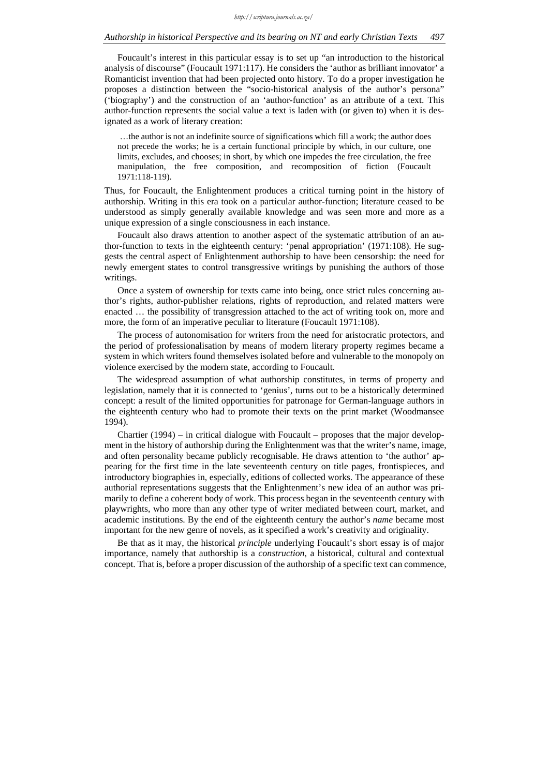#### *Authorship in historical Perspective and its bearing on NT and early Christian Texts 497*

Foucault's interest in this particular essay is to set up "an introduction to the historical analysis of discourse" (Foucault 1971:117). He considers the 'author as brilliant innovator' a Romanticist invention that had been projected onto history. To do a proper investigation he proposes a distinction between the "socio-historical analysis of the author's persona" ('biography') and the construction of an 'author-function' as an attribute of a text. This author-function represents the social value a text is laden with (or given to) when it is designated as a work of literary creation:

 …the author is not an indefinite source of significations which fill a work; the author does not precede the works; he is a certain functional principle by which, in our culture, one limits, excludes, and chooses; in short, by which one impedes the free circulation, the free manipulation, the free composition, and recomposition of fiction (Foucault 1971:118-119).

Thus, for Foucault, the Enlightenment produces a critical turning point in the history of authorship. Writing in this era took on a particular author-function; literature ceased to be understood as simply generally available knowledge and was seen more and more as a unique expression of a single consciousness in each instance.

Foucault also draws attention to another aspect of the systematic attribution of an author-function to texts in the eighteenth century: 'penal appropriation' (1971:108). He suggests the central aspect of Enlightenment authorship to have been censorship: the need for newly emergent states to control transgressive writings by punishing the authors of those writings.

Once a system of ownership for texts came into being, once strict rules concerning author's rights, author-publisher relations, rights of reproduction, and related matters were enacted … the possibility of transgression attached to the act of writing took on, more and more, the form of an imperative peculiar to literature (Foucault 1971:108).

The process of autonomisation for writers from the need for aristocratic protectors, and the period of professionalisation by means of modern literary property regimes became a system in which writers found themselves isolated before and vulnerable to the monopoly on violence exercised by the modern state, according to Foucault.

The widespread assumption of what authorship constitutes, in terms of property and legislation, namely that it is connected to 'genius', turns out to be a historically determined concept: a result of the limited opportunities for patronage for German-language authors in the eighteenth century who had to promote their texts on the print market (Woodmansee 1994).

Chartier (1994) – in critical dialogue with Foucault – proposes that the major development in the history of authorship during the Enlightenment was that the writer's name, image, and often personality became publicly recognisable. He draws attention to 'the author' appearing for the first time in the late seventeenth century on title pages, frontispieces, and introductory biographies in, especially, editions of collected works. The appearance of these authorial representations suggests that the Enlightenment's new idea of an author was primarily to define a coherent body of work. This process began in the seventeenth century with playwrights, who more than any other type of writer mediated between court, market, and academic institutions. By the end of the eighteenth century the author's *name* became most important for the new genre of novels, as it specified a work's creativity and originality.

Be that as it may, the historical *principle* underlying Foucault's short essay is of major importance, namely that authorship is a *construction*, a historical, cultural and contextual concept. That is, before a proper discussion of the authorship of a specific text can commence,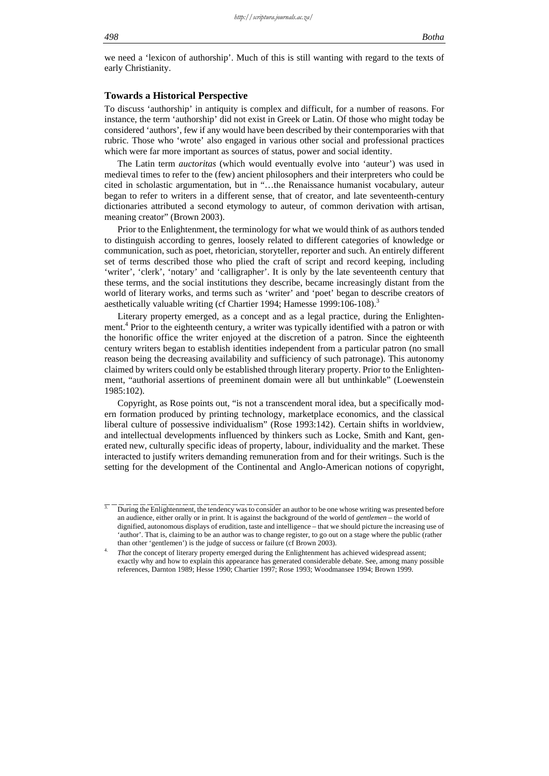we need a 'lexicon of authorship'. Much of this is still wanting with regard to the texts of early Christianity.

## **Towards a Historical Perspective**

To discuss 'authorship' in antiquity is complex and difficult, for a number of reasons. For instance, the term 'author*s*hip' did not exist in Greek or Latin. Of those who might today be considered 'authors', few if any would have been described by their contemporaries with that rubric. Those who 'wrote' also engaged in various other social and professional practices which were far more important as sources of status, power and social identity.

The Latin term *auctoritas* (which would eventually evolve into 'auteur') was used in medieval times to refer to the (few) ancient philosophers and their interpreters who could be cited in scholastic argumentation, but in "…the Renaissance humanist vocabulary, auteur began to refer to writers in a different sense, that of creator, and late seventeenth-century dictionaries attributed a second etymology to auteur, of common derivation with artisan, meaning creator" (Brown 2003).

Prior to the Enlightenment, the terminology for what we would think of as authors tended to distinguish according to genres, loosely related to different categories of knowledge or communication, such as poet, rhetorician, storyteller, reporter and such. An entirely different set of terms described those who plied the craft of script and record keeping, including 'writer', 'clerk', 'notary' and 'calligrapher'. It is only by the late seventeenth century that these terms, and the social institutions they describe, became increasingly distant from the world of literary works, and terms such as 'writer' and 'poet' began to describe creators of aesthetically valuable writing (cf Chartier 1994; Hamesse 1999:106-108).<sup>3</sup>

Literary property emerged, as a concept and as a legal practice, during the Enlightenment.<sup>4</sup> Prior to the eighteenth century, a writer was typically identified with a patron or with the honorific office the writer enjoyed at the discretion of a patron. Since the eighteenth century writers began to establish identities independent from a particular patron (no small reason being the decreasing availability and sufficiency of such patronage). This autonomy claimed by writers could only be established through literary property. Prior to the Enlightenment, "authorial assertions of preeminent domain were all but unthinkable" (Loewenstein 1985:102).

Copyright, as Rose points out, "is not a transcendent moral idea, but a specifically modern formation produced by printing technology, marketplace economics, and the classical liberal culture of possessive individualism" (Rose 1993:142). Certain shifts in worldview, and intellectual developments influenced by thinkers such as Locke, Smith and Kant, generated new, culturally specific ideas of property, labour, individuality and the market. These interacted to justify writers demanding remuneration from and for their writings. Such is the setting for the development of the Continental and Anglo-American notions of copyright,

<sup>3.</sup> During the Enlightenment, the tendency was to consider an author to be one whose writing was presented before an audience, either orally or in print. It is against the background of the world of *gentlemen* – the world of dignified, autonomous displays of erudition, taste and intelligence – that we should picture the increasing use of 'author'. That is, claiming to be an author was to change register, to go out on a stage where the public (rather than other 'gentlemen') is the judge of success or failure (cf Brown 2003).

That the concept of literary property emerged during the Enlightenment has achieved widespread assent; exactly why and how to explain this appearance has generated considerable debate. See, among many possible references, Darnton 1989; Hesse 1990; Chartier 1997; Rose 1993; Woodmansee 1994; Brown 1999.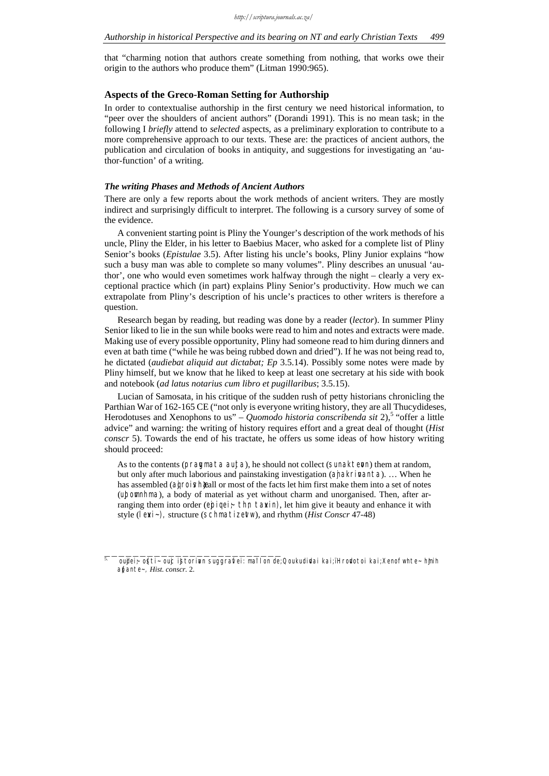that "charming notion that authors create something from nothing, that works owe their origin to the authors who produce them" (Litman 1990:965).

### **Aspects of the Greco-Roman Setting for Authorship**

In order to contextualise authorship in the first century we need historical information, to "peer over the shoulders of ancient authors" (Dorandi 1991). This is no mean task; in the following I *briefly* attend to *selected* aspects, as a preliminary exploration to contribute to a more comprehensive approach to our texts. These are: the practices of ancient authors, the publication and circulation of books in antiquity, and suggestions for investigating an 'author-function' of a writing.

#### *The writing Phases and Methods of Ancient Authors*

\_\_\_\_\_\_\_\_\_\_\_\_\_\_\_\_\_\_\_\_\_\_\_\_\_

There are only a few reports about the work methods of ancient writers. They are mostly indirect and surprisingly difficult to interpret. The following is a cursory survey of some of the evidence.

A convenient starting point is Pliny the Younger's description of the work methods of his uncle, Pliny the Elder, in his letter to Baebius Macer, who asked for a complete list of Pliny Senior's books (*Epistulae* 3.5). After listing his uncle's books, Pliny Junior explains "how such a busy man was able to complete so many volumes". Pliny describes an unusual 'author', one who would even sometimes work halfway through the night – clearly a very exceptional practice which (in part) explains Pliny Senior's productivity. How much we can extrapolate from Pliny's description of his uncle's practices to other writers is therefore a question.

Research began by reading, but reading was done by a reader (*lector*). In summer Pliny Senior liked to lie in the sun while books were read to him and notes and extracts were made. Making use of every possible opportunity, Pliny had someone read to him during dinners and even at bath time ("while he was being rubbed down and dried"). If he was not being read to, he dictated (*audiebat aliquid aut dictabat; Ep* 3.5.14). Possibly some notes were made by Pliny himself, but we know that he liked to keep at least one secretary at his side with book and notebook (*ad latus notarius cum libro et pugillaribus*; 3.5.15).

Lucian of Samosata, in his critique of the sudden rush of petty historians chronicling the Parthian War of 162-165 CE ("not only is everyone writing history, they are all Thucydideses, Herodotuses and Xenophons to us" – *Quomodo historia conscribenda sit* 2),<sup>5</sup> "offer a little advice" and warning: the writing of history requires effort and a great deal of thought (*Hist conscr* 5). Towards the end of his tractate, he offers us some ideas of how history writing should proceed:

As to the contents (pragmata aujta), he should not collect (sunakteron) them at random, but only after much laborious and painstaking investigation (anakrivanta). ... When he has assembled (approximately all or most of the facts let him first make them into a set of notes (upomnhma), a body of material as yet without charm and unorganised. Then, after arranging them into order (epiqei; thn taxin), let him give it beauty and enhance it with style (lewi-), structure (schmatizertw), and rhythm (*Hist Conscr* 47-48)

oujdei;~ o\$ti~ oujc ibtorian suggraffei: ma'llon de; Qoukudidai kai; ïHrodotoi kai; Xenofwhte~ hlmih a{pante~, *Hist. conscr.* 2.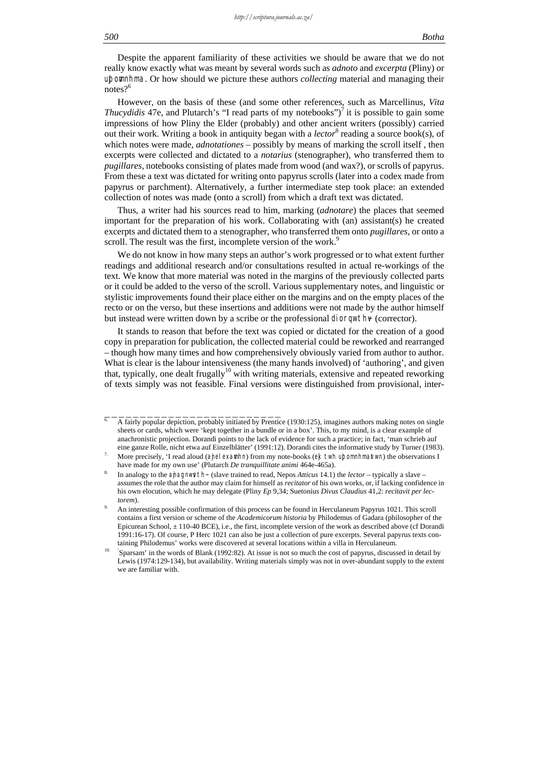#### *500 Botha*

Despite the apparent familiarity of these activities we should be aware that we do not really know exactly what was meant by several words such as *adnoto* and *excerpta* (Pliny) or upomnhma. Or how should we picture these authors *collecting* material and managing their  $notes?$ <sup>6</sup>

However, on the basis of these (and some other references, such as Marcellinus, *Vita Thucydidis* 47e, and Plutarch's "I read parts of my notebooks")<sup>7</sup> it is possible to gain some impressions of how Pliny the Elder (probably) and other ancient writers (possibly) carried out their work. Writing a book in antiquity began with a *lector*<sup>8</sup> reading a source book(s), of which notes were made, *adnotationes* – possibly by means of marking the scroll itself, then excerpts were collected and dictated to a *notarius* (stenographer), who transferred them to *pugillares*, notebooks consisting of plates made from wood (and wax?), or scrolls of papyrus. From these a text was dictated for writing onto papyrus scrolls (later into a codex made from papyrus or parchment). Alternatively, a further intermediate step took place: an extended collection of notes was made (onto a scroll) from which a draft text was dictated.

Thus, a writer had his sources read to him, marking (*adnotare*) the places that seemed important for the preparation of his work. Collaborating with (an) assistant(s) he created excerpts and dictated them to a stenographer, who transferred them onto *pugillares*, or onto a scroll. The result was the first, incomplete version of the work.<sup>9</sup>

We do not know in how many steps an author's work progressed or to what extent further readings and additional research and/or consultations resulted in actual re-workings of the text. We know that more material was noted in the margins of the previously collected parts or it could be added to the verso of the scroll. Various supplementary notes, and linguistic or stylistic improvements found their place either on the margins and on the empty places of the recto or on the verso, but these insertions and additions were not made by the author himself but instead were written down by a scribe or the professional diorqwth⊩ (corrector).

It stands to reason that before the text was copied or dictated for the creation of a good copy in preparation for publication, the collected material could be reworked and rearranged – though how many times and how comprehensively obviously varied from author to author. What is clear is the labour intensiveness (the many hands involved) of 'authoring', and given that, typically, one dealt frugally<sup>10</sup> with writing materials, extensive and repeated reworking of texts simply was not feasible. Final versions were distinguished from provisional, inter-

<sup>6.</sup> A fairly popular depiction, probably initiated by Prentice (1930:125), imagines authors making notes on single sheets or cards, which were 'kept together in a bundle or in a box'. This, to my mind, is a clear example of anachronistic projection. Dorandi points to the lack of evidence for such a practice; in fact, 'man schrieb auf eine ganze Rolle, nicht etwa auf Einzelblätter' (1991:12). Dorandi cites the informative study by Turner (1983).

More precisely, 'I read aloud (ajnel examhn) from my note-books (ek twh upomnhmatwn) the observations I have made for my own use' (Plutarch *De tranquillitate animi* 464e-465a).<br>In analogy to the a**jnagnwsth** ~ (slave trained to read, Nepos *Atticus* 14.1) the *lector* – typically a slave –

assumes the role that the author may claim for himself as *recitator* of his own works, or, if lacking confidence in his own elocution, which he may delegate (Pliny *Ep* 9,34; Suetonius *Divus Claudius* 41,2: *recitavit per lec-*

*torem*).<br>An interesting possible confirmation of this process can be found in Herculaneum Papyrus 1021. This scroll contains a first version or scheme of the *Academicorum historia* by Philodemus of Gadara (philosopher of the Epicurean School,  $\pm$  110-40 BCE), i.e., the first, incomplete version of the work as described above (cf Dorandi 1991:16-17). Of course, P Herc 1021 can also be just a collection of pure excerpts. Several papyrus texts containing Philodemus' works were discovered at several locations within a villa in Herculaneum.

<sup>10. &#</sup>x27;Sparsam' in the words of Blank (1992:82). At issue is not so much the cost of papyrus, discussed in detail by Lewis (1974:129-134), but availability. Writing materials simply was not in over-abundant supply to the extent we are familiar with.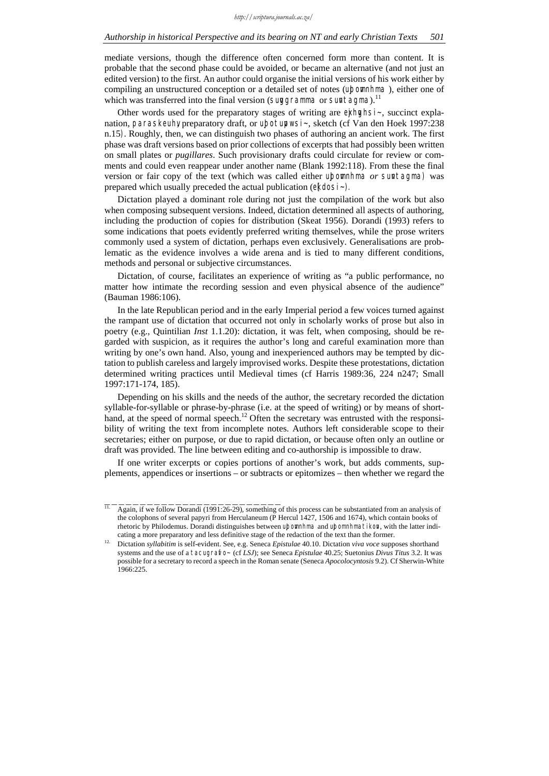#### *Authorship in historical Perspective and its bearing on NT and early Christian Texts 501*

mediate versions, though the difference often concerned form more than content. It is probable that the second phase could be avoided, or became an alternative (and not just an edited version) to the first. An author could organise the initial versions of his work either by compiling an unstructured conception or a detailed set of notes (upomnhma), either one of which was transferred into the final version (suggramma or suntagma).<sup>11</sup>

Other words used for the preparatory stages of writing are  $e^{\frac{1}{2}}$  succinct explanation, paraskeuh, preparatory draft, or upotupwsi-, sketch (cf Van den Hoek 1997:238 n.15). Roughly, then, we can distinguish two phases of authoring an ancient work. The first phase was draft versions based on prior collections of excerpts that had possibly been written on small plates or *pugillares*. Such provisionary drafts could circulate for review or comments and could even reappear under another name (Blank 1992:118). From these the final version or fair copy of the text (which was called either upomnhma or suntagma) was prepared which usually preceded the actual publication (ekdosi-).

Dictation played a dominant role during not just the compilation of the work but also when composing subsequent versions. Indeed, dictation determined all aspects of authoring, including the production of copies for distribution (Skeat 1956). Dorandi (1993) refers to some indications that poets evidently preferred writing themselves, while the prose writers commonly used a system of dictation, perhaps even exclusively. Generalisations are problematic as the evidence involves a wide arena and is tied to many different conditions, methods and personal or subjective circumstances.

Dictation, of course, facilitates an experience of writing as "a public performance, no matter how intimate the recording session and even physical absence of the audience" (Bauman 1986:106).

In the late Republican period and in the early Imperial period a few voices turned against the rampant use of dictation that occurred not only in scholarly works of prose but also in poetry (e.g., Quintilian *Inst* 1.1.20): dictation, it was felt, when composing, should be regarded with suspicion, as it requires the author's long and careful examination more than writing by one's own hand. Also, young and inexperienced authors may be tempted by dictation to publish careless and largely improvised works. Despite these protestations, dictation determined writing practices until Medieval times (cf Harris 1989:36, 224 n247; Small 1997:171-174, 185).

Depending on his skills and the needs of the author, the secretary recorded the dictation syllable-for-syllable or phrase-by-phrase (i.e. at the speed of writing) or by means of shorthand, at the speed of normal speech.<sup>12</sup> Often the secretary was entrusted with the responsibility of writing the text from incomplete notes. Authors left considerable scope to their secretaries; either on purpose, or due to rapid dictation, or because often only an outline or draft was provided. The line between editing and co-authorship is impossible to draw.

If one writer excerpts or copies portions of another's work, but adds comments, supplements, appendices or insertions – or subtracts or epitomizes – then whether we regard the

<sup>&</sup>lt;sup>11.</sup> Again, if we follow Dorandi (1991:26-29), something of this process can be substantiated from an analysis of the colophons of several papyri from Herculaneum (P Hercul 1427, 1506 and 1674), which contain books of rhetoric by Philodemus. Dorandi distinguishes between upomnhma and upomnhmatikon, with the latter indicating a more preparatory and less definitive stage of the redaction of the text than the former.

<sup>12.</sup> Dictation *syllabitim* is self-evident. See, e.g. Seneca *Epistulae* 40.10. Dictation *viva voce* supposes shorthand systems and the use of a tacugrafo~ (cf *LSJ*); see Seneca *Epistulae* 40.25; Suetonius *Divus Titus* 3.2. It was possible for a secretary to record a speech in the Roman senate (Seneca *Apocolocyntosis* 9.2). Cf Sherwin-White 1966:225.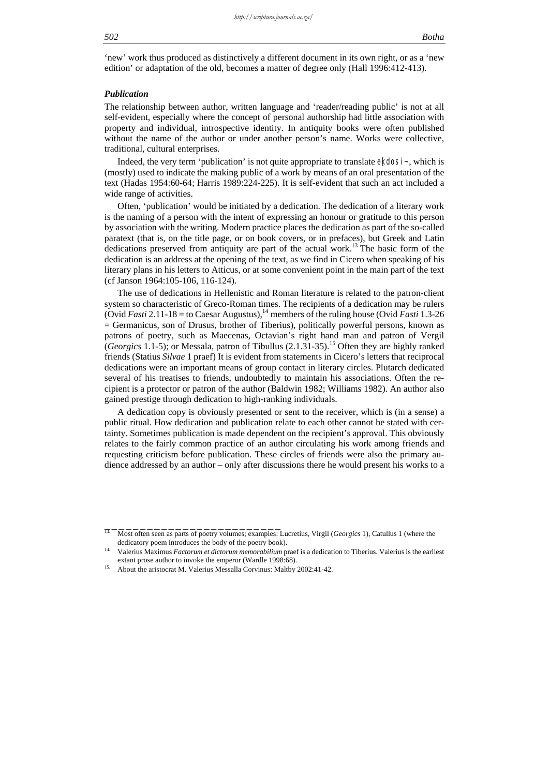#### *502 Botha*

'new' work thus produced as distinctively a different document in its own right, or as a 'new edition' or adaptation of the old, becomes a matter of degree only (Hall 1996:412-413).

#### *Publication*

The relationship between author, written language and 'reader/reading public' is not at all self-evident, especially where the concept of personal authorship had little association with property and individual, introspective identity. In antiquity books were often published without the name of the author or under another person's name. Works were collective, traditional, cultural enterprises.

Indeed, the very term 'publication' is not quite appropriate to translate  $ekdosi<sub>o</sub>$ , which is (mostly) used to indicate the making public of a work by means of an oral presentation of the text (Hadas 1954:60-64; Harris 1989:224-225). It is self-evident that such an act included a wide range of activities.

Often, 'publication' would be initiated by a dedication. The dedication of a literary work is the naming of a person with the intent of expressing an honour or gratitude to this person by association with the writing. Modern practice places the dedication as part of the so-called paratext (that is, on the title page, or on book covers, or in prefaces), but Greek and Latin dedications preserved from antiquity are part of the actual work.<sup>13</sup> The basic form of the dedication is an address at the opening of the text, as we find in Cicero when speaking of his literary plans in his letters to Atticus, or at some convenient point in the main part of the text (cf Janson 1964:105-106, 116-124).

The use of dedications in Hellenistic and Roman literature is related to the patron-client system so characteristic of Greco-Roman times. The recipients of a dedication may be rulers (Ovid *Fasti* 2.11-18 = to Caesar Augustus),<sup>14</sup> members of the ruling house (Ovid *Fasti* 1.3-26 = Germanicus, son of Drusus, brother of Tiberius), politically powerful persons, known as patrons of poetry, such as Maecenas, Octavian's right hand man and patron of Vergil (*Georgics* 1.1-5); or Messala, patron of Tibullus (2.1.31-35).<sup>15</sup> Often they are highly ranked friends (Statius *Silvae* 1 praef) It is evident from statements in Cicero's letters that reciprocal dedications were an important means of group contact in literary circles. Plutarch dedicated several of his treatises to friends, undoubtedly to maintain his associations. Often the recipient is a protector or patron of the author (Baldwin 1982; Williams 1982). An author also gained prestige through dedication to high-ranking individuals.

A dedication copy is obviously presented or sent to the receiver, which is (in a sense) a public ritual. How dedication and publication relate to each other cannot be stated with certainty. Sometimes publication is made dependent on the recipient's approval. This obviously relates to the fairly common practice of an author circulating his work among friends and requesting criticism before publication. These circles of friends were also the primary audience addressed by an author – only after discussions there he would present his works to a

<sup>13.</sup> Most often seen as parts of poetry volumes; examples: Lucretius, Virgil (*Georgics* 1), Catullus 1 (where the

dedicatory poem introduces the body of the poetry book). 14. Valerius Maximus *Factorum et dictorum memorabilium* praef is a dedication to Tiberius. Valerius is the earliest extant prose author to invoke the emperor (Wardle 1998:68).

<sup>&</sup>lt;sup>15.</sup> About the aristocrat M. Valerius Messalla Corvinus: Maltby 2002:41-42.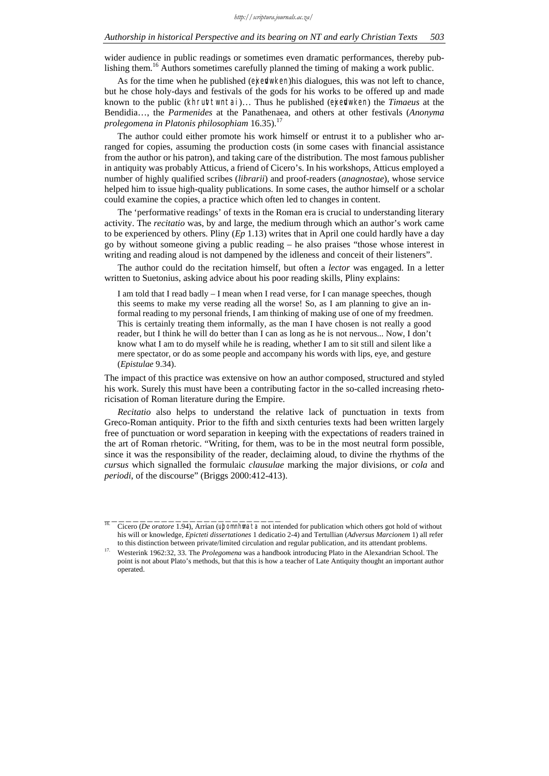wider audience in public readings or sometimes even dramatic performances, thereby publishing them.<sup>16</sup> Authors sometimes carefully planned the timing of making a work public.

As for the time when he published (exertal when his dialogues, this was not left to chance, but he chose holy-days and festivals of the gods for his works to be offered up and made known to the public (khruwttwntai)... Thus he published (ejxerdwken) the *Timaeus* at the Bendidia…, the *Parmenides* at the Panathenaea, and others at other festivals (*Anonyma prolegomena in Platonis philosophiam* 16.35).17

The author could either promote his work himself or entrust it to a publisher who arranged for copies, assuming the production costs (in some cases with financial assistance from the author or his patron), and taking care of the distribution. The most famous publisher in antiquity was probably Atticus, a friend of Cicero's. In his workshops, Atticus employed a number of highly qualified scribes (*librarii*) and proof-readers (*anagnostae*), whose service helped him to issue high-quality publications. In some cases, the author himself or a scholar could examine the copies, a practice which often led to changes in content.

The 'performative readings' of texts in the Roman era is crucial to understanding literary activity. The *recitatio* was, by and large, the medium through which an author's work came to be experienced by others. Pliny (*Ep* 1.13) writes that in April one could hardly have a day go by without someone giving a public reading – he also praises "those whose interest in writing and reading aloud is not dampened by the idleness and conceit of their listeners".

The author could do the recitation himself, but often a *lector* was engaged. In a letter written to Suetonius, asking advice about his poor reading skills, Pliny explains:

I am told that I read badly – I mean when I read verse, for I can manage speeches, though this seems to make my verse reading all the worse! So, as I am planning to give an informal reading to my personal friends, I am thinking of making use of one of my freedmen. This is certainly treating them informally, as the man I have chosen is not really a good reader, but I think he will do better than I can as long as he is not nervous... Now, I don't know what I am to do myself while he is reading, whether I am to sit still and silent like a mere spectator, or do as some people and accompany his words with lips, eye, and gesture (*Epistulae* 9.34).

The impact of this practice was extensive on how an author composed, structured and styled his work. Surely this must have been a contributing factor in the so-called increasing rhetoricisation of Roman literature during the Empire.

*Recitatio* also helps to understand the relative lack of punctuation in texts from Greco-Roman antiquity. Prior to the fifth and sixth centuries texts had been written largely free of punctuation or word separation in keeping with the expectations of readers trained in the art of Roman rhetoric. "Writing, for them, was to be in the most neutral form possible, since it was the responsibility of the reader, declaiming aloud, to divine the rhythms of the *cursus* which signalled the formulaic *clausulae* marking the major divisions, or *cola* and *periodi*, of the discourse" (Briggs 2000:412-413).

Cicero (*De oratore* 1.94), Arrian (upomnhmata not intended for publication which others got hold of without his will or knowledge, *Epicteti dissertationes* 1 dedicatio 2-4) and Tertullian (*Adversus Marcionem* 1) all refer to this distinction between private/limited circulation and regular publication, and its attendant problems.

<sup>17.</sup> Westerink 1962:32, 33. The *Prolegomena* was a handbook introducing Plato in the Alexandrian School. The point is not about Plato's methods, but that this is how a teacher of Late Antiquity thought an important author operated.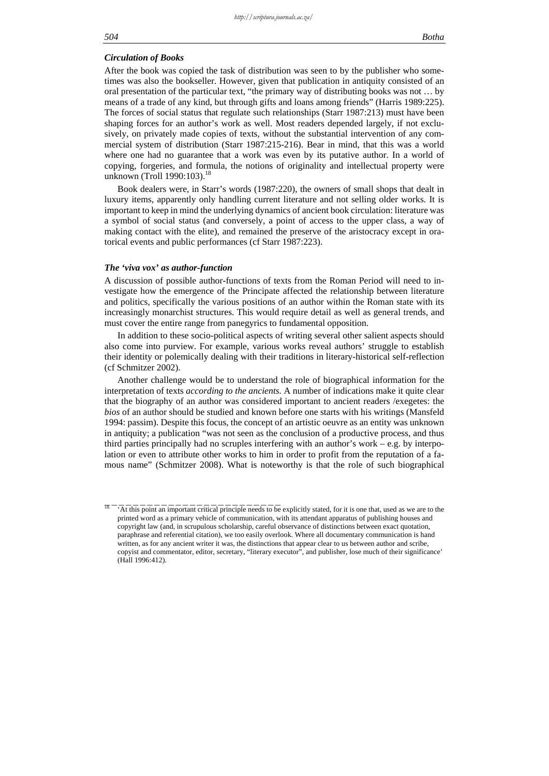#### *Circulation of Books*

After the book was copied the task of distribution was seen to by the publisher who sometimes was also the bookseller. However, given that publication in antiquity consisted of an oral presentation of the particular text, "the primary way of distributing books was not … by means of a trade of any kind, but through gifts and loans among friends" (Harris 1989:225). The forces of social status that regulate such relationships (Starr 1987:213) must have been shaping forces for an author's work as well. Most readers depended largely, if not exclusively, on privately made copies of texts, without the substantial intervention of any commercial system of distribution (Starr 1987:215-216). Bear in mind, that this was a world where one had no guarantee that a work was even by its putative author. In a world of copying, forgeries, and formula, the notions of originality and intellectual property were unknown (Troll 1990:103).<sup>18</sup>

Book dealers were, in Starr's words (1987:220), the owners of small shops that dealt in luxury items, apparently only handling current literature and not selling older works. It is important to keep in mind the underlying dynamics of ancient book circulation: literature was a symbol of social status (and conversely, a point of access to the upper class, a way of making contact with the elite), and remained the preserve of the aristocracy except in oratorical events and public performances (cf Starr 1987:223).

#### *The 'viva vox' as author-function*

\_\_\_\_\_\_\_\_\_\_\_\_\_\_\_\_\_\_\_\_\_\_\_\_\_

A discussion of possible author-functions of texts from the Roman Period will need to investigate how the emergence of the Principate affected the relationship between literature and politics, specifically the various positions of an author within the Roman state with its increasingly monarchist structures. This would require detail as well as general trends, and must cover the entire range from panegyrics to fundamental opposition.

In addition to these socio-political aspects of writing several other salient aspects should also come into purview. For example, various works reveal authors' struggle to establish their identity or polemically dealing with their traditions in literary-historical self-reflection (cf Schmitzer 2002).

Another challenge would be to understand the role of biographical information for the interpretation of texts *according to the ancients.* A number of indications make it quite clear that the biography of an author was considered important to ancient readers /exegetes: the *bios* of an author should be studied and known before one starts with his writings (Mansfeld 1994: passim). Despite this focus, the concept of an artistic oeuvre as an entity was unknown in antiquity; a publication "was not seen as the conclusion of a productive process, and thus third parties principally had no scruples interfering with an author's work – e.g. by interpolation or even to attribute other works to him in order to profit from the reputation of a famous name" (Schmitzer 2008). What is noteworthy is that the role of such biographical

<sup>18. &#</sup>x27;At this point an important critical principle needs to be explicitly stated, for it is one that, used as we are to the printed word as a primary vehicle of communication, with its attendant apparatus of publishing houses and copyright law (and, in scrupulous scholarship, careful observance of distinctions between exact quotation, paraphrase and referential citation), we too easily overlook. Where all documentary communication is hand written, as for any ancient writer it was, the distinctions that appear clear to us between author and scribe, copyist and commentator, editor, secretary, "literary executor", and publisher, lose much of their significance' (Hall 1996:412).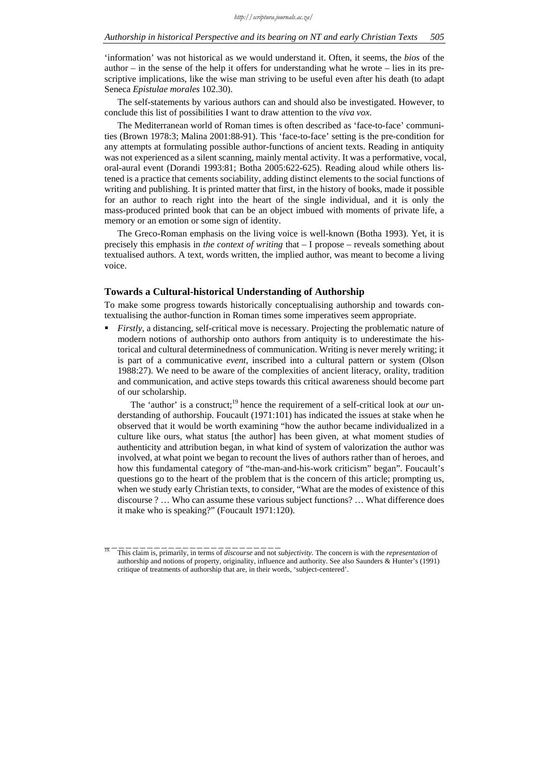'information' was not historical as we would understand it. Often, it seems, the *bios* of the author – in the sense of the help it offers for understanding what he wrote – lies in its prescriptive implications, like the wise man striving to be useful even after his death (to adapt Seneca *Epistulae morales* 102.30).

The self-statements by various authors can and should also be investigated. However, to conclude this list of possibilities I want to draw attention to the *viva vox*.

The Mediterranean world of Roman times is often described as 'face-to-face' communities (Brown 1978:3; Malina 2001:88-91). This 'face-to-face' setting is the pre-condition for any attempts at formulating possible author-functions of ancient texts. Reading in antiquity was not experienced as a silent scanning, mainly mental activity. It was a performative, vocal, oral-aural event (Dorandi 1993:81; Botha 2005:622-625). Reading aloud while others listened is a practice that cements sociability, adding distinct elements to the social functions of writing and publishing. It is printed matter that first, in the history of books, made it possible for an author to reach right into the heart of the single individual, and it is only the mass-produced printed book that can be an object imbued with moments of private life, a memory or an emotion or some sign of identity.

The Greco-Roman emphasis on the living voice is well-known (Botha 1993). Yet, it is precisely this emphasis in *the context of writing* that – I propose – reveals something about textualised authors. A text, words written, the implied author, was meant to become a living voice.

#### **Towards a Cultural-historical Understanding of Authorship**

To make some progress towards historically conceptualising authorship and towards contextualising the author-function in Roman times some imperatives seem appropriate.

 *Firstly*, a distancing, self-critical move is necessary. Projecting the problematic nature of modern notions of authorship onto authors from antiquity is to underestimate the historical and cultural determinedness of communication. Writing is never merely writing; it is part of a communicative *event*, inscribed into a cultural pattern or system (Olson 1988:27). We need to be aware of the complexities of ancient literacy, orality, tradition and communication, and active steps towards this critical awareness should become part of our scholarship.

The 'author' is a construct;<sup>19</sup> hence the requirement of a self-critical look at *our* understanding of authorship. Foucault (1971:101) has indicated the issues at stake when he observed that it would be worth examining "how the author became individualized in a culture like ours, what status [the author] has been given, at what moment studies of authenticity and attribution began, in what kind of system of valorization the author was involved, at what point we began to recount the lives of authors rather than of heroes, and how this fundamental category of "the-man-and-his-work criticism" began". Foucault's questions go to the heart of the problem that is the concern of this article; prompting us, when we study early Christian texts, to consider, "What are the modes of existence of this discourse ? … Who can assume these various subject functions? … What difference does it make who is speaking?" (Foucault 1971:120).

<sup>19.</sup> This claim is, primarily, in terms of *discourse* and not *subjectivity.* The concern is with the *representation* of authorship and notions of property, originality, influence and authority. See also Saunders & Hunter's (1991) critique of treatments of authorship that are, in their words, 'subject-centered'.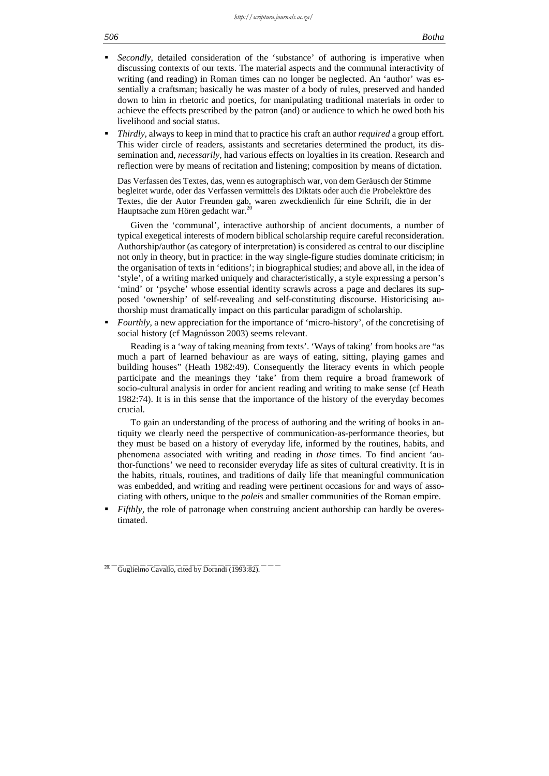- *Secondly*, detailed consideration of the 'substance' of authoring is imperative when discussing contexts of our texts. The material aspects and the communal interactivity of writing (and reading) in Roman times can no longer be neglected. An 'author' was essentially a craftsman; basically he was master of a body of rules, preserved and handed down to him in rhetoric and poetics, for manipulating traditional materials in order to achieve the effects prescribed by the patron (and) or audience to which he owed both his livelihood and social status.
- *Thirdly,* always to keep in mind that to practice his craft an author *required* a group effort. This wider circle of readers, assistants and secretaries determined the product, its dissemination and, *necessarily,* had various effects on loyalties in its creation. Research and reflection were by means of recitation and listening; composition by means of dictation.

Das Verfassen des Textes, das, wenn es autographisch war, von dem Geräusch der Stimme begleitet wurde, oder das Verfassen vermittels des Diktats oder auch die Probelektüre des Textes, die der Autor Freunden gab, waren zweckdienlich für eine Schrift, die in der Hauptsache zum Hören gedacht war.<sup>20</sup>

Given the 'communal', interactive authorship of ancient documents, a number of typical exegetical interests of modern biblical scholarship require careful reconsideration. Authorship/author (as category of interpretation) is considered as central to our discipline not only in theory, but in practice: in the way single-figure studies dominate criticism; in the organisation of texts in 'editions'; in biographical studies; and above all, in the idea of 'style', of a writing marked uniquely and characteristically, a style expressing a person's 'mind' or 'psyche' whose essential identity scrawls across a page and declares its supposed 'ownership' of self-revealing and self-constituting discourse. Historicising authorship must dramatically impact on this particular paradigm of scholarship.

 *Fourthly,* a new appreciation for the importance of 'micro-history', of the concretising of social history (cf Magnússon 2003) seems relevant.

Reading is a 'way of taking meaning from texts'. 'Ways of taking' from books are "as much a part of learned behaviour as are ways of eating, sitting, playing games and building houses" (Heath 1982:49). Consequently the literacy events in which people participate and the meanings they 'take' from them require a broad framework of socio-cultural analysis in order for ancient reading and writing to make sense (cf Heath 1982:74). It is in this sense that the importance of the history of the everyday becomes crucial.

To gain an understanding of the process of authoring and the writing of books in antiquity we clearly need the perspective of communication-as-performance theories, but they must be based on a history of everyday life, informed by the routines, habits, and phenomena associated with writing and reading in *those* times. To find ancient 'author-functions' we need to reconsider everyday life as sites of cultural creativity. It is in the habits, rituals, routines, and traditions of daily life that meaningful communication was embedded, and writing and reading were pertinent occasions for and ways of associating with others, unique to the *poleis* and smaller communities of the Roman empire.

*Fifthly*, the role of patronage when construing ancient authorship can hardly be overestimated.

Guglielmo Cavallo, cited by Dorandi (1993:82).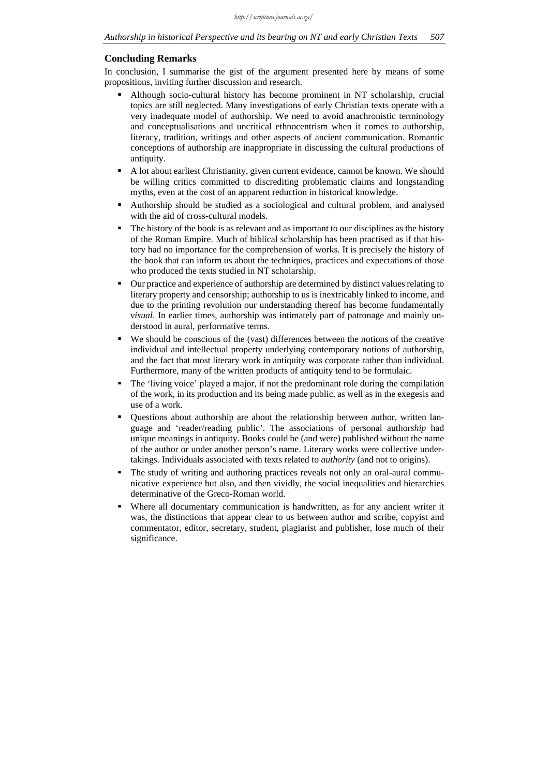### **Concluding Remarks**

In conclusion, I summarise the gist of the argument presented here by means of some propositions, inviting further discussion and research.

- Although socio-cultural history has become prominent in NT scholarship, crucial topics are still neglected. Many investigations of early Christian texts operate with a very inadequate model of authorship. We need to avoid anachronistic terminology and conceptualisations and uncritical ethnocentrism when it comes to authorship, literacy, tradition, writings and other aspects of ancient communication. Romantic conceptions of authorship are inappropriate in discussing the cultural productions of antiquity.
- A lot about earliest Christianity, given current evidence, cannot be known. We should be willing critics committed to discrediting problematic claims and longstanding myths, even at the cost of an apparent reduction in historical knowledge.
- Authorship should be studied as a sociological and cultural problem, and analysed with the aid of cross-cultural models.
- The history of the book is as relevant and as important to our disciplines as the history of the Roman Empire. Much of biblical scholarship has been practised as if that history had no importance for the comprehension of works. It is precisely the history of the book that can inform us about the techniques, practices and expectations of those who produced the texts studied in NT scholarship.
- Our practice and experience of authorship are determined by distinct values relating to literary property and censorship; authorship to us is inextricably linked to income, and due to the printing revolution our understanding thereof has become fundamentally *visual*. In earlier times, authorship was intimately part of patronage and mainly understood in aural, performative terms.
- We should be conscious of the (vast) differences between the notions of the creative individual and intellectual property underlying contemporary notions of authorship, and the fact that most literary work in antiquity was corporate rather than individual. Furthermore, many of the written products of antiquity tend to be formulaic.
- The 'living voice' played a major, if not the predominant role during the compilation of the work, in its production and its being made public, as well as in the exegesis and use of a work.
- Questions about authorship are about the relationship between author, written language and 'reader/reading public'. The associations of personal author*ship* had unique meanings in antiquity. Books could be (and were) published without the name of the author or under another person's name. Literary works were collective undertakings. Individuals associated with texts related to *authority* (and not to origins).
- The study of writing and authoring practices reveals not only an oral-aural communicative experience but also, and then vividly, the social inequalities and hierarchies determinative of the Greco-Roman world.
- Where all documentary communication is handwritten, as for any ancient writer it was, the distinctions that appear clear to us between author and scribe, copyist and commentator, editor, secretary, student, plagiarist and publisher, lose much of their significance.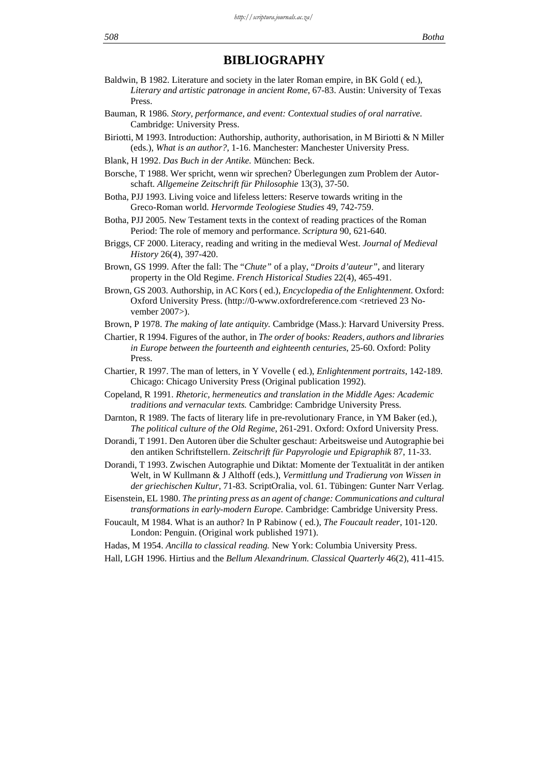## **BIBLIOGRAPHY**

- Baldwin, B 1982. Literature and society in the later Roman empire, in BK Gold ( ed.), *Literary and artistic patronage in ancient Rome*, 67-83. Austin: University of Texas Press.
- Bauman, R 1986. *Story, performance, and event: Contextual studies of oral narrative.* Cambridge: University Press.
- Biriotti, M 1993. Introduction: Authorship, authority, authorisation, in M Biriotti & N Miller (eds.), *What is an author?*, 1-16. Manchester: Manchester University Press.
- Blank, H 1992. *Das Buch in der Antike.* München: Beck.
- Borsche, T 1988. Wer spricht, wenn wir sprechen? Überlegungen zum Problem der Autorschaft. *Allgemeine Zeitschrift für Philosophie* 13(3), 37-50.
- Botha, PJJ 1993. Living voice and lifeless letters: Reserve towards writing in the Greco-Roman world. *Hervormde Teologiese Studies* 49, 742-759.
- Botha, PJJ 2005. New Testament texts in the context of reading practices of the Roman Period: The role of memory and performance. *Scriptura* 90, 621-640.
- Briggs, CF 2000. Literacy, reading and writing in the medieval West. *Journal of Medieval History* 26(4), 397-420.
- Brown, GS 1999. After the fall: The "*Chute"* of a play, "*Droits d'auteur"*, and literary property in the Old Regime. *French Historical Studies* 22(4), 465-491.
- Brown, GS 2003. Authorship, in AC Kors ( ed.), *Encyclopedia of the Enlightenment.* Oxford: Oxford University Press. (http://0-www.oxfordreference.com <retrieved 23 November 2007>).
- Brown, P 1978. *The making of late antiquity.* Cambridge (Mass.): Harvard University Press.
- Chartier, R 1994. Figures of the author, in *The order of books: Readers, authors and libraries in Europe between the fourteenth and eighteenth centuries*, 25-60. Oxford: Polity Press.
- Chartier, R 1997. The man of letters, in Y Vovelle ( ed.), *Enlightenment portraits*, 142-189. Chicago: Chicago University Press (Original publication 1992).
- Copeland, R 1991. *Rhetoric, hermeneutics and translation in the Middle Ages: Academic traditions and vernacular texts.* Cambridge: Cambridge University Press.
- Darnton, R 1989. The facts of literary life in pre-revolutionary France, in YM Baker (ed.), *The political culture of the Old Regime*, 261-291. Oxford: Oxford University Press.
- Dorandi, T 1991. Den Autoren über die Schulter geschaut: Arbeitsweise und Autographie bei den antiken Schriftstellern. *Zeitschrift für Papyrologie und Epigraphik* 87, 11-33.
- Dorandi, T 1993. Zwischen Autographie und Diktat: Momente der Textualität in der antiken Welt, in W Kullmann & J Althoff (eds.), *Vermittlung und Tradierung von Wissen in der griechischen Kultur*, 71-83. ScriptOralia, vol. 61. Tübingen: Gunter Narr Verlag.
- Eisenstein, EL 1980. *The printing press as an agent of change: Communications and cultural transformations in early-modern Europe.* Cambridge: Cambridge University Press.
- Foucault, M 1984. What is an author? In P Rabinow ( ed.), *The Foucault reader*, 101-120. London: Penguin. (Original work published 1971).
- Hadas, M 1954. *Ancilla to classical reading.* New York: Columbia University Press.
- Hall, LGH 1996. Hirtius and the *Bellum Alexandrinum. Classical Quarterly* 46(2), 411-415.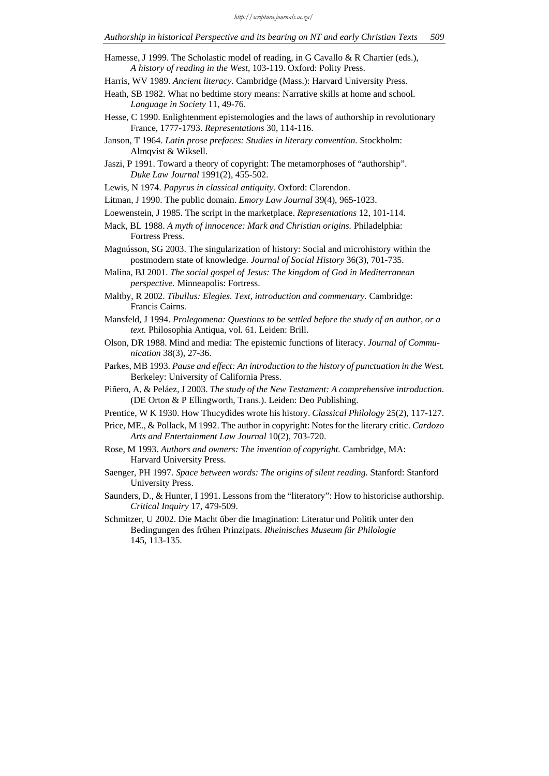Hamesse, J 1999. The Scholastic model of reading, in G Cavallo & R Chartier (eds.), *A history of reading in the West*, 103-119. Oxford: Polity Press.

Harris, WV 1989. *Ancient literacy.* Cambridge (Mass.): Harvard University Press.

- Heath, SB 1982. What no bedtime story means: Narrative skills at home and school. *Language in Society* 11, 49-76.
- Hesse, C 1990. Enlightenment epistemologies and the laws of authorship in revolutionary France, 1777-1793. *Representations* 30, 114-116.
- Janson, T 1964. *Latin prose prefaces: Studies in literary convention.* Stockholm: Almqvist & Wiksell.
- Jaszi, P 1991. Toward a theory of copyright: The metamorphoses of "authorship". *Duke Law Journal* 1991(2), 455-502.
- Lewis, N 1974. *Papyrus in classical antiquity.* Oxford: Clarendon.
- Litman, J 1990. The public domain. *Emory Law Journal* 39(4), 965-1023.
- Loewenstein, J 1985. The script in the marketplace. *Representations* 12, 101-114.
- Mack, BL 1988. *A myth of innocence: Mark and Christian origins.* Philadelphia: Fortress Press.
- Magnússon, SG 2003. The singularization of history: Social and microhistory within the postmodern state of knowledge. *Journal of Social History* 36(3), 701-735.
- Malina, BJ 2001. *The social gospel of Jesus: The kingdom of God in Mediterranean perspective.* Minneapolis: Fortress.
- Maltby, R 2002. *Tibullus: Elegies. Text, introduction and commentary.* Cambridge: Francis Cairns.
- Mansfeld, J 1994. *Prolegomena: Questions to be settled before the study of an author, or a text.* Philosophia Antiqua, vol. 61. Leiden: Brill.
- Olson, DR 1988. Mind and media: The epistemic functions of literacy. *Journal of Communication* 38(3), 27-36.
- Parkes, MB 1993. *Pause and effect: An introduction to the history of punctuation in the West.* Berkeley: University of California Press.
- Piñero, A, & Peláez, J 2003. *The study of the New Testament: A comprehensive introduction.* (DE Orton & P Ellingworth, Trans.). Leiden: Deo Publishing.
- Prentice, W K 1930. How Thucydides wrote his history. *Classical Philology* 25(2), 117-127.
- Price, ME., & Pollack, M 1992. The author in copyright: Notes for the literary critic. *Cardozo Arts and Entertainment Law Journal* 10(2), 703-720.
- Rose, M 1993. *Authors and owners: The invention of copyright.* Cambridge, MA: Harvard University Press.
- Saenger, PH 1997. *Space between words: The origins of silent reading.* Stanford: Stanford University Press.
- Saunders, D., & Hunter, I 1991. Lessons from the "literatory": How to historicise authorship. *Critical Inquiry* 17, 479-509.
- Schmitzer, U 2002. Die Macht über die Imagination: Literatur und Politik unter den Bedingungen des frühen Prinzipats. *Rheinisches Museum für Philologie* 145, 113-135.